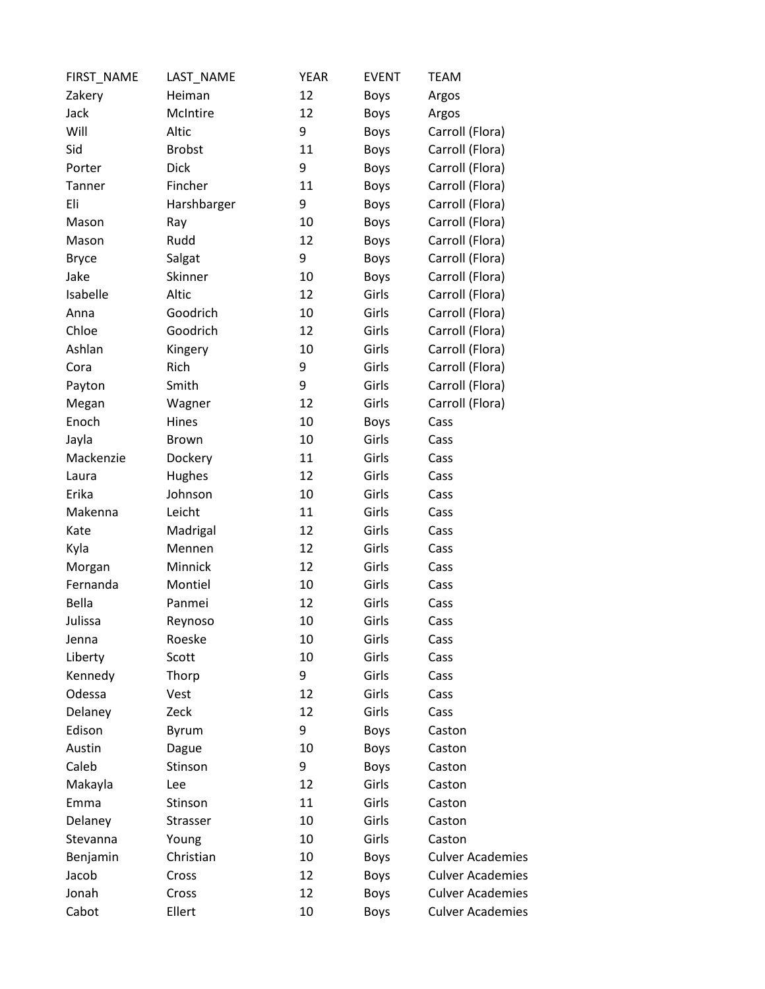| FIRST_NAME   | LAST NAME     | <b>YEAR</b> | <b>EVENT</b> | <b>TEAM</b>             |
|--------------|---------------|-------------|--------------|-------------------------|
| Zakery       | Heiman        | 12          | <b>Boys</b>  | Argos                   |
| Jack         | McIntire      | 12          | <b>Boys</b>  | Argos                   |
| Will         | Altic         | 9           | Boys         | Carroll (Flora)         |
| Sid          | <b>Brobst</b> | 11          | <b>Boys</b>  | Carroll (Flora)         |
| Porter       | <b>Dick</b>   | 9           | <b>Boys</b>  | Carroll (Flora)         |
| Tanner       | Fincher       | 11          | <b>Boys</b>  | Carroll (Flora)         |
| Eli          | Harshbarger   | 9           | <b>Boys</b>  | Carroll (Flora)         |
| Mason        | Ray           | 10          | <b>Boys</b>  | Carroll (Flora)         |
| Mason        | Rudd          | 12          | <b>Boys</b>  | Carroll (Flora)         |
| <b>Bryce</b> | Salgat        | 9           | <b>Boys</b>  | Carroll (Flora)         |
| Jake         | Skinner       | 10          | <b>Boys</b>  | Carroll (Flora)         |
| Isabelle     | Altic         | 12          | Girls        | Carroll (Flora)         |
| Anna         | Goodrich      | 10          | Girls        | Carroll (Flora)         |
| Chloe        | Goodrich      | 12          | Girls        | Carroll (Flora)         |
| Ashlan       | Kingery       | 10          | Girls        | Carroll (Flora)         |
| Cora         | Rich          | 9           | Girls        | Carroll (Flora)         |
| Payton       | Smith         | 9           | Girls        | Carroll (Flora)         |
| Megan        | Wagner        | 12          | Girls        | Carroll (Flora)         |
| Enoch        | Hines         | 10          | <b>Boys</b>  | Cass                    |
| Jayla        | <b>Brown</b>  | 10          | Girls        | Cass                    |
| Mackenzie    | Dockery       | 11          | Girls        | Cass                    |
| Laura        | Hughes        | 12          | Girls        | Cass                    |
| Erika        | Johnson       | 10          | Girls        | Cass                    |
| Makenna      | Leicht        | 11          | Girls        | Cass                    |
| Kate         | Madrigal      | 12          | Girls        | Cass                    |
| Kyla         | Mennen        | 12          | Girls        | Cass                    |
| Morgan       | Minnick       | 12          | Girls        | Cass                    |
| Fernanda     | Montiel       | 10          | Girls        | Cass                    |
| <b>Bella</b> | Panmei        | 12          | Girls        | Cass                    |
| Julissa      | Reynoso       | 10          | Girls        | Cass                    |
| Jenna        | Roeske        | 10          | Girls        | Cass                    |
| Liberty      | Scott         | 10          | Girls        | Cass                    |
| Kennedy      | Thorp         | 9           | Girls        | Cass                    |
| Odessa       | Vest          | 12          | Girls        | Cass                    |
| Delaney      | Zeck          | 12          | Girls        | Cass                    |
| Edison       | Byrum         | 9           | <b>Boys</b>  | Caston                  |
| Austin       | Dague         | 10          | Boys         | Caston                  |
| Caleb        | Stinson       | 9           | Boys         | Caston                  |
| Makayla      | Lee           | 12          | Girls        | Caston                  |
| Emma         | Stinson       | 11          | Girls        | Caston                  |
| Delaney      | Strasser      | 10          | Girls        | Caston                  |
| Stevanna     | Young         | 10          | Girls        | Caston                  |
| Benjamin     | Christian     | 10          | <b>Boys</b>  | <b>Culver Academies</b> |
| Jacob        | Cross         | 12          | Boys         | <b>Culver Academies</b> |
| Jonah        | Cross         | 12          | Boys         | <b>Culver Academies</b> |
| Cabot        | Ellert        | 10          | Boys         | <b>Culver Academies</b> |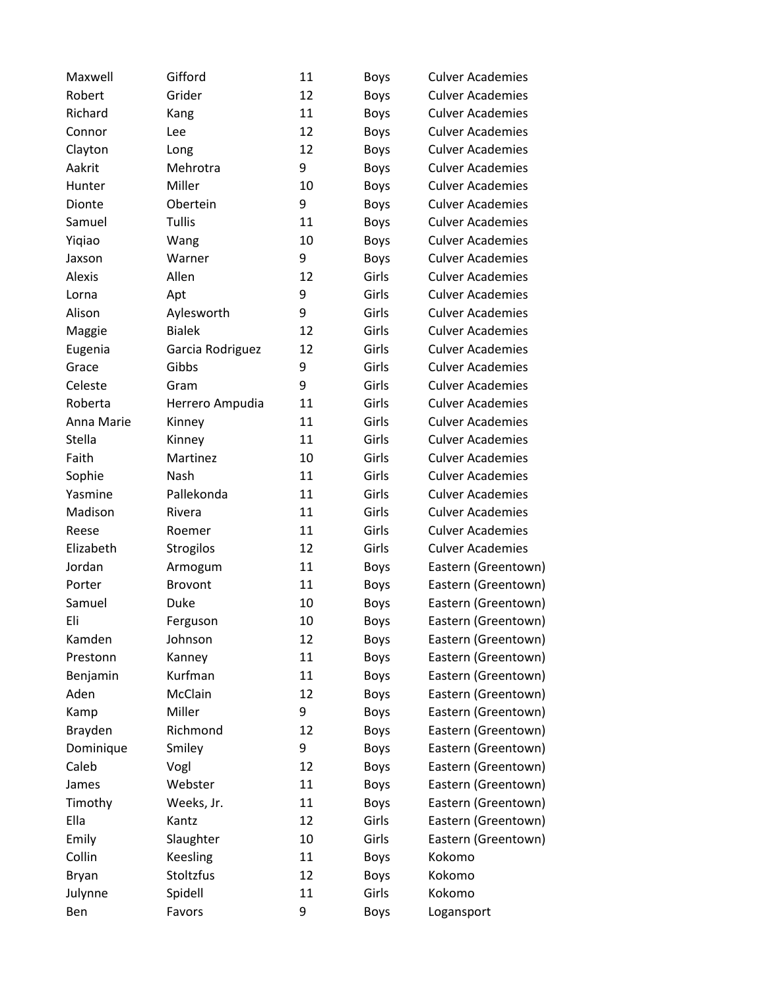| Maxwell    | Gifford          | 11 | Boys        | <b>Culver Academies</b> |
|------------|------------------|----|-------------|-------------------------|
| Robert     | Grider           | 12 | <b>Boys</b> | <b>Culver Academies</b> |
| Richard    | Kang             | 11 | <b>Boys</b> | <b>Culver Academies</b> |
| Connor     | Lee              | 12 | <b>Boys</b> | <b>Culver Academies</b> |
| Clayton    | Long             | 12 | <b>Boys</b> | <b>Culver Academies</b> |
| Aakrit     | Mehrotra         | 9  | <b>Boys</b> | <b>Culver Academies</b> |
| Hunter     | Miller           | 10 | <b>Boys</b> | <b>Culver Academies</b> |
| Dionte     | Obertein         | 9  | <b>Boys</b> | <b>Culver Academies</b> |
| Samuel     | Tullis           | 11 | <b>Boys</b> | <b>Culver Academies</b> |
| Yiqiao     | Wang             | 10 | <b>Boys</b> | <b>Culver Academies</b> |
| Jaxson     | Warner           | 9  | <b>Boys</b> | <b>Culver Academies</b> |
| Alexis     | Allen            | 12 | Girls       | <b>Culver Academies</b> |
| Lorna      | Apt              | 9  | Girls       | <b>Culver Academies</b> |
| Alison     | Aylesworth       | 9  | Girls       | <b>Culver Academies</b> |
| Maggie     | <b>Bialek</b>    | 12 | Girls       | <b>Culver Academies</b> |
| Eugenia    | Garcia Rodriguez | 12 | Girls       | <b>Culver Academies</b> |
| Grace      | Gibbs            | 9  | Girls       | <b>Culver Academies</b> |
| Celeste    | Gram             | 9  | Girls       | <b>Culver Academies</b> |
| Roberta    | Herrero Ampudia  | 11 | Girls       | <b>Culver Academies</b> |
| Anna Marie | Kinney           | 11 | Girls       | <b>Culver Academies</b> |
| Stella     | Kinney           | 11 | Girls       | <b>Culver Academies</b> |
| Faith      | Martinez         | 10 | Girls       | <b>Culver Academies</b> |
| Sophie     | Nash             | 11 | Girls       | <b>Culver Academies</b> |
| Yasmine    | Pallekonda       | 11 | Girls       | <b>Culver Academies</b> |
| Madison    | Rivera           | 11 | Girls       | <b>Culver Academies</b> |
| Reese      | Roemer           | 11 | Girls       | <b>Culver Academies</b> |
| Elizabeth  | Strogilos        | 12 | Girls       | <b>Culver Academies</b> |
| Jordan     | Armogum          | 11 | <b>Boys</b> | Eastern (Greentown)     |
| Porter     | Brovont          | 11 | <b>Boys</b> | Eastern (Greentown)     |
| Samuel     | Duke             | 10 | <b>Boys</b> | Eastern (Greentown)     |
| Eli        | Ferguson         | 10 | <b>Boys</b> | Eastern (Greentown)     |
| Kamden     | Johnson          | 12 | <b>Boys</b> | Eastern (Greentown)     |
| Prestonn   | Kanney           | 11 | Boys        | Eastern (Greentown)     |
| Benjamin   | Kurfman          | 11 | Boys        | Eastern (Greentown)     |
| Aden       | McClain          | 12 | <b>Boys</b> | Eastern (Greentown)     |
| Kamp       | Miller           | 9  | <b>Boys</b> | Eastern (Greentown)     |
| Brayden    | Richmond         | 12 | <b>Boys</b> | Eastern (Greentown)     |
| Dominique  | Smiley           | 9  | <b>Boys</b> | Eastern (Greentown)     |
| Caleb      | Vogl             | 12 | Boys        | Eastern (Greentown)     |
| James      | Webster          | 11 | Boys        | Eastern (Greentown)     |
| Timothy    | Weeks, Jr.       | 11 | <b>Boys</b> | Eastern (Greentown)     |
| Ella       | Kantz            | 12 | Girls       | Eastern (Greentown)     |
| Emily      | Slaughter        | 10 | Girls       | Eastern (Greentown)     |
| Collin     | Keesling         | 11 | <b>Boys</b> | Kokomo                  |
| Bryan      | Stoltzfus        | 12 | <b>Boys</b> | Kokomo                  |
| Julynne    | Spidell          | 11 | Girls       | Kokomo                  |
| Ben        | Favors           | 9  | Boys        | Logansport              |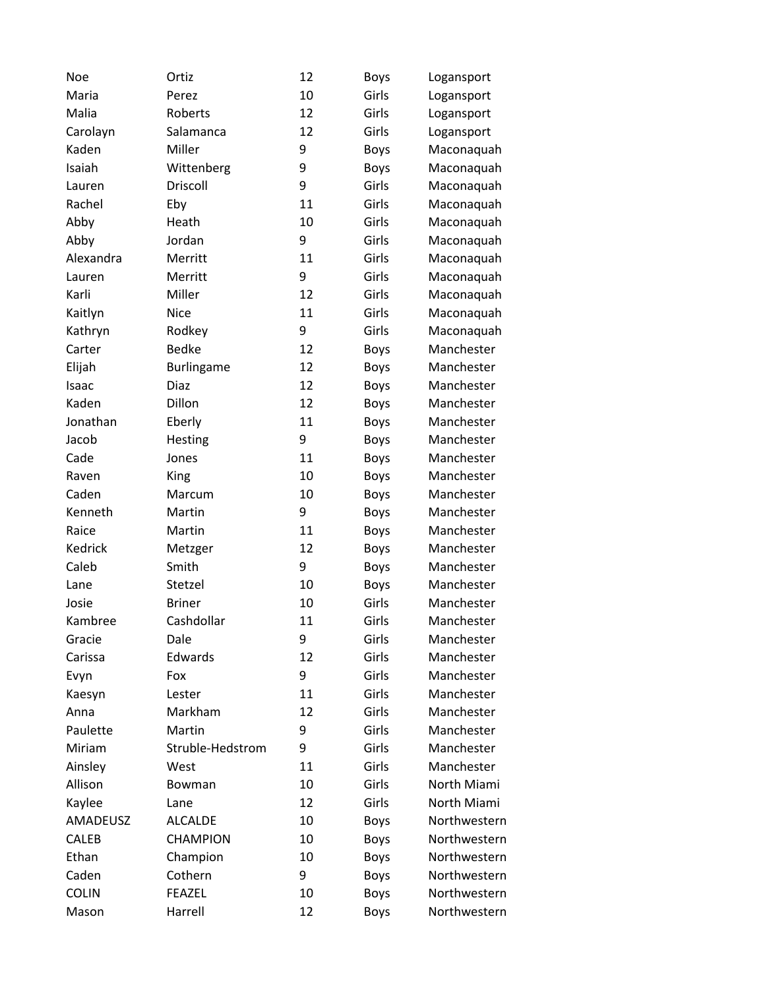| <b>Noe</b>   | Ortiz             | 12 | <b>Boys</b> | Logansport   |
|--------------|-------------------|----|-------------|--------------|
| Maria        | Perez             | 10 | Girls       | Logansport   |
| Malia        | Roberts           | 12 | Girls       | Logansport   |
| Carolayn     | Salamanca         | 12 | Girls       | Logansport   |
| Kaden        | Miller            | 9  | Boys        | Maconaquah   |
| Isaiah       | Wittenberg        | 9  | <b>Boys</b> | Maconaquah   |
| Lauren       | Driscoll          | 9  | Girls       | Maconaquah   |
| Rachel       | Eby               | 11 | Girls       | Maconaquah   |
| Abby         | Heath             | 10 | Girls       | Maconaquah   |
| Abby         | Jordan            | 9  | Girls       | Maconaquah   |
| Alexandra    | Merritt           | 11 | Girls       | Maconaquah   |
| Lauren       | Merritt           | 9  | Girls       | Maconaquah   |
| Karli        | Miller            | 12 | Girls       | Maconaquah   |
| Kaitlyn      | <b>Nice</b>       | 11 | Girls       | Maconaquah   |
| Kathryn      | Rodkey            | 9  | Girls       | Maconaquah   |
| Carter       | <b>Bedke</b>      | 12 | <b>Boys</b> | Manchester   |
| Elijah       | <b>Burlingame</b> | 12 | <b>Boys</b> | Manchester   |
| Isaac        | Diaz              | 12 | <b>Boys</b> | Manchester   |
| Kaden        | Dillon            | 12 | <b>Boys</b> | Manchester   |
| Jonathan     | Eberly            | 11 | <b>Boys</b> | Manchester   |
| Jacob        | Hesting           | 9  | Boys        | Manchester   |
| Cade         | Jones             | 11 | <b>Boys</b> | Manchester   |
| Raven        | King              | 10 | <b>Boys</b> | Manchester   |
| Caden        | Marcum            | 10 | Boys        | Manchester   |
| Kenneth      | Martin            | 9  | <b>Boys</b> | Manchester   |
| Raice        | Martin            | 11 | <b>Boys</b> | Manchester   |
| Kedrick      | Metzger           | 12 | <b>Boys</b> | Manchester   |
| Caleb        | Smith             | 9  | <b>Boys</b> | Manchester   |
| Lane         | Stetzel           | 10 | <b>Boys</b> | Manchester   |
| Josie        | <b>Briner</b>     | 10 | Girls       | Manchester   |
| Kambree      | Cashdollar        | 11 | Girls       | Manchester   |
| Gracie       | Dale              | 9  | Girls       | Manchester   |
| Carissa      | Edwards           | 12 | Girls       | Manchester   |
| Evyn         | Fox               | 9  | Girls       | Manchester   |
| Kaesyn       | Lester            | 11 | Girls       | Manchester   |
| Anna         | Markham           | 12 | Girls       | Manchester   |
| Paulette     | Martin            | 9  | Girls       | Manchester   |
| Miriam       | Struble-Hedstrom  | 9  | Girls       | Manchester   |
| Ainsley      | West              | 11 | Girls       | Manchester   |
| Allison      | Bowman            | 10 | Girls       | North Miami  |
| Kaylee       | Lane              | 12 | Girls       | North Miami  |
| AMADEUSZ     | <b>ALCALDE</b>    | 10 | <b>Boys</b> | Northwestern |
| <b>CALEB</b> | <b>CHAMPION</b>   | 10 | Boys        | Northwestern |
| Ethan        | Champion          | 10 | <b>Boys</b> | Northwestern |
| Caden        | Cothern           | 9  | Boys        | Northwestern |
| <b>COLIN</b> | <b>FEAZEL</b>     | 10 | Boys        | Northwestern |
| Mason        | Harrell           | 12 | Boys        | Northwestern |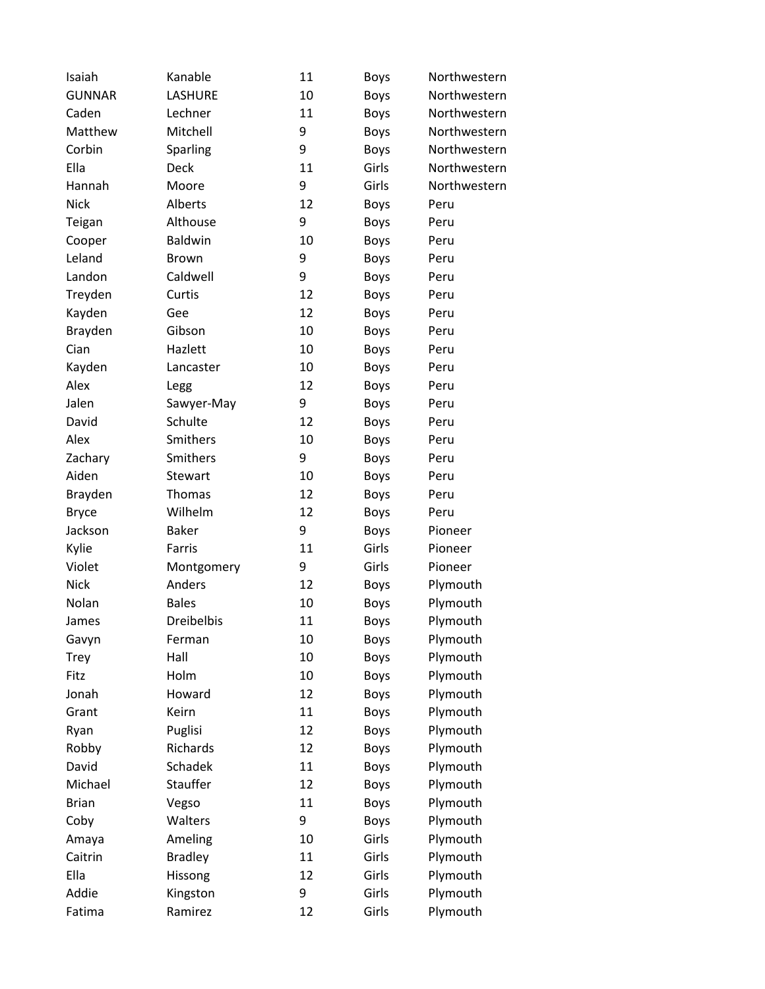| Isaiah        | Kanable           | 11 | <b>Boys</b> | Northwestern |
|---------------|-------------------|----|-------------|--------------|
| <b>GUNNAR</b> | <b>LASHURE</b>    | 10 | Boys        | Northwestern |
| Caden         | Lechner           | 11 | Boys        | Northwestern |
| Matthew       | Mitchell          | 9  | Boys        | Northwestern |
| Corbin        | Sparling          | 9  | Boys        | Northwestern |
| Ella          | <b>Deck</b>       | 11 | Girls       | Northwestern |
| Hannah        | Moore             | 9  | Girls       | Northwestern |
| <b>Nick</b>   | Alberts           | 12 | Boys        | Peru         |
| Teigan        | Althouse          | 9  | Boys        | Peru         |
| Cooper        | Baldwin           | 10 | Boys        | Peru         |
| Leland        | <b>Brown</b>      | 9  | Boys        | Peru         |
| Landon        | Caldwell          | 9  | Boys        | Peru         |
| Treyden       | Curtis            | 12 | Boys        | Peru         |
| Kayden        | Gee               | 12 | Boys        | Peru         |
| Brayden       | Gibson            | 10 | Boys        | Peru         |
| Cian          | Hazlett           | 10 | Boys        | Peru         |
| Kayden        | Lancaster         | 10 | Boys        | Peru         |
| Alex          | Legg              | 12 | Boys        | Peru         |
| Jalen         | Sawyer-May        | 9  | Boys        | Peru         |
| David         | Schulte           | 12 | <b>Boys</b> | Peru         |
| Alex          | Smithers          | 10 | Boys        | Peru         |
| Zachary       | Smithers          | 9  | Boys        | Peru         |
| Aiden         | Stewart           | 10 | Boys        | Peru         |
| Brayden       | Thomas            | 12 | Boys        | Peru         |
| <b>Bryce</b>  | Wilhelm           | 12 | Boys        | Peru         |
| Jackson       | <b>Baker</b>      | 9  | Boys        | Pioneer      |
| Kylie         | Farris            | 11 | Girls       | Pioneer      |
| Violet        | Montgomery        | 9  | Girls       | Pioneer      |
| <b>Nick</b>   | Anders            | 12 | Boys        | Plymouth     |
| Nolan         | <b>Bales</b>      | 10 | <b>Boys</b> | Plymouth     |
| James         | <b>Dreibelbis</b> | 11 | <b>Boys</b> | Plymouth     |
| Gavyn         | Ferman            | 10 | Boys        | Plymouth     |
| <b>Trey</b>   | Hall              | 10 | Boys        | Plymouth     |
| Fitz          | Holm              | 10 | Boys        | Plymouth     |
| Jonah         | Howard            | 12 | Boys        | Plymouth     |
| Grant         | Keirn             | 11 | Boys        | Plymouth     |
| Ryan          | Puglisi           | 12 | Boys        | Plymouth     |
| Robby         | Richards          | 12 | Boys        | Plymouth     |
| David         | Schadek           | 11 | Boys        | Plymouth     |
| Michael       | Stauffer          | 12 | Boys        | Plymouth     |
| <b>Brian</b>  | Vegso             | 11 | Boys        | Plymouth     |
| Coby          | Walters           | 9  | Boys        | Plymouth     |
| Amaya         | Ameling           | 10 | Girls       | Plymouth     |
| Caitrin       | <b>Bradley</b>    | 11 | Girls       | Plymouth     |
| Ella          | Hissong           | 12 | Girls       | Plymouth     |
| Addie         | Kingston          | 9  | Girls       | Plymouth     |
| Fatima        | Ramirez           | 12 | Girls       | Plymouth     |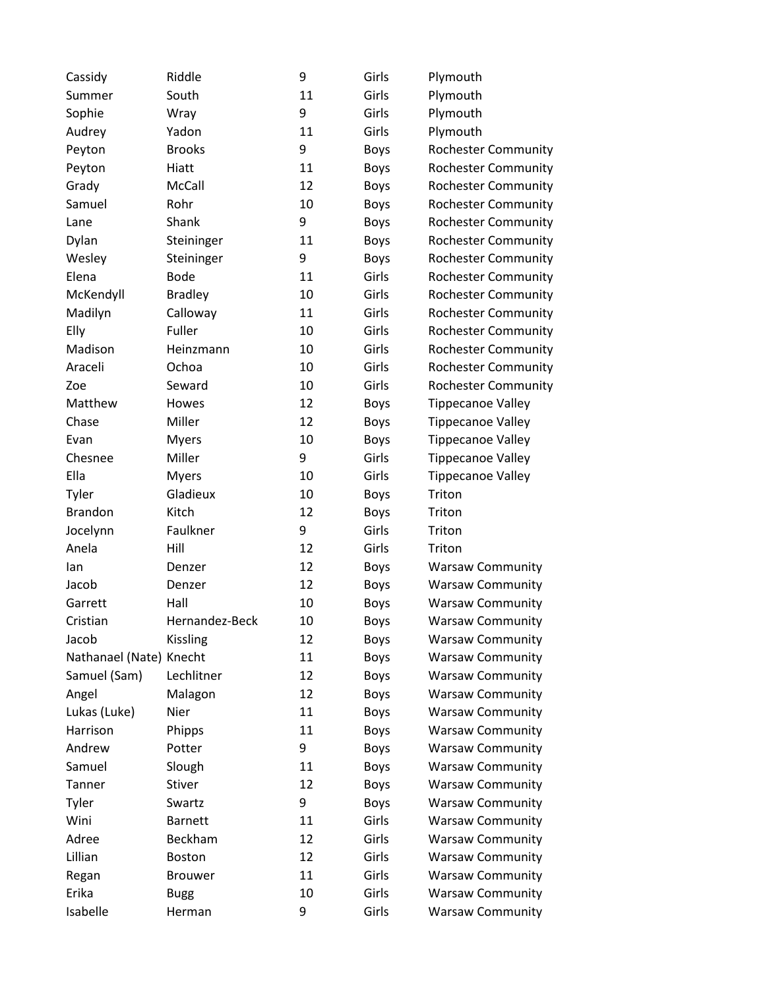| Cassidy                 | Riddle         | 9  | Girls       | Plymouth                   |
|-------------------------|----------------|----|-------------|----------------------------|
| Summer                  | South          | 11 | Girls       | Plymouth                   |
| Sophie                  | Wray           | 9  | Girls       | Plymouth                   |
| Audrey                  | Yadon          | 11 | Girls       | Plymouth                   |
| Peyton                  | <b>Brooks</b>  | 9  | <b>Boys</b> | <b>Rochester Community</b> |
| Peyton                  | Hiatt          | 11 | <b>Boys</b> | <b>Rochester Community</b> |
| Grady                   | McCall         | 12 | Boys        | <b>Rochester Community</b> |
| Samuel                  | Rohr           | 10 | <b>Boys</b> | <b>Rochester Community</b> |
| Lane                    | Shank          | 9  | <b>Boys</b> | <b>Rochester Community</b> |
| Dylan                   | Steininger     | 11 | Boys        | <b>Rochester Community</b> |
| Wesley                  | Steininger     | 9  | Boys        | <b>Rochester Community</b> |
| Elena                   | <b>Bode</b>    | 11 | Girls       | <b>Rochester Community</b> |
| McKendyll               | <b>Bradley</b> | 10 | Girls       | <b>Rochester Community</b> |
| Madilyn                 | Calloway       | 11 | Girls       | <b>Rochester Community</b> |
| Elly                    | Fuller         | 10 | Girls       | <b>Rochester Community</b> |
| Madison                 | Heinzmann      | 10 | Girls       | <b>Rochester Community</b> |
| Araceli                 | Ochoa          | 10 | Girls       | <b>Rochester Community</b> |
| Zoe                     | Seward         | 10 | Girls       | <b>Rochester Community</b> |
| Matthew                 | Howes          | 12 | <b>Boys</b> | <b>Tippecanoe Valley</b>   |
| Chase                   | Miller         | 12 | <b>Boys</b> | <b>Tippecanoe Valley</b>   |
| Evan                    | <b>Myers</b>   | 10 | <b>Boys</b> | <b>Tippecanoe Valley</b>   |
| Chesnee                 | Miller         | 9  | Girls       | <b>Tippecanoe Valley</b>   |
| Ella                    | <b>Myers</b>   | 10 | Girls       | <b>Tippecanoe Valley</b>   |
| Tyler                   | Gladieux       | 10 | Boys        | Triton                     |
| <b>Brandon</b>          | Kitch          | 12 | Boys        | Triton                     |
| Jocelynn                | Faulkner       | 9  | Girls       | Triton                     |
| Anela                   | Hill           | 12 | Girls       | Triton                     |
| lan                     | Denzer         | 12 | Boys        | <b>Warsaw Community</b>    |
| Jacob                   | Denzer         | 12 | Boys        | <b>Warsaw Community</b>    |
| Garrett                 | Hall           | 10 | Boys        | <b>Warsaw Community</b>    |
| Cristian                | Hernandez-Beck | 10 | <b>Boys</b> | <b>Warsaw Community</b>    |
| Jacob                   | Kissling       | 12 | Boys        | <b>Warsaw Community</b>    |
| Nathanael (Nate) Knecht |                | 11 | <b>Boys</b> | <b>Warsaw Community</b>    |
| Samuel (Sam)            | Lechlitner     | 12 | <b>Boys</b> | <b>Warsaw Community</b>    |
| Angel                   | Malagon        | 12 | Boys        | <b>Warsaw Community</b>    |
| Lukas (Luke)            | Nier           | 11 | Boys        | <b>Warsaw Community</b>    |
| Harrison                | Phipps         | 11 | <b>Boys</b> | <b>Warsaw Community</b>    |
| Andrew                  | Potter         | 9  | Boys        | <b>Warsaw Community</b>    |
| Samuel                  | Slough         | 11 | <b>Boys</b> | <b>Warsaw Community</b>    |
| Tanner                  | Stiver         | 12 | Boys        | <b>Warsaw Community</b>    |
| Tyler                   | Swartz         | 9  | Boys        | <b>Warsaw Community</b>    |
| Wini                    | <b>Barnett</b> | 11 | Girls       | <b>Warsaw Community</b>    |
| Adree                   | Beckham        | 12 | Girls       | <b>Warsaw Community</b>    |
| Lillian                 | Boston         | 12 | Girls       | <b>Warsaw Community</b>    |
| Regan                   | <b>Brouwer</b> | 11 | Girls       | <b>Warsaw Community</b>    |
| Erika                   | <b>Bugg</b>    | 10 | Girls       | <b>Warsaw Community</b>    |
| Isabelle                | Herman         | 9  | Girls       | <b>Warsaw Community</b>    |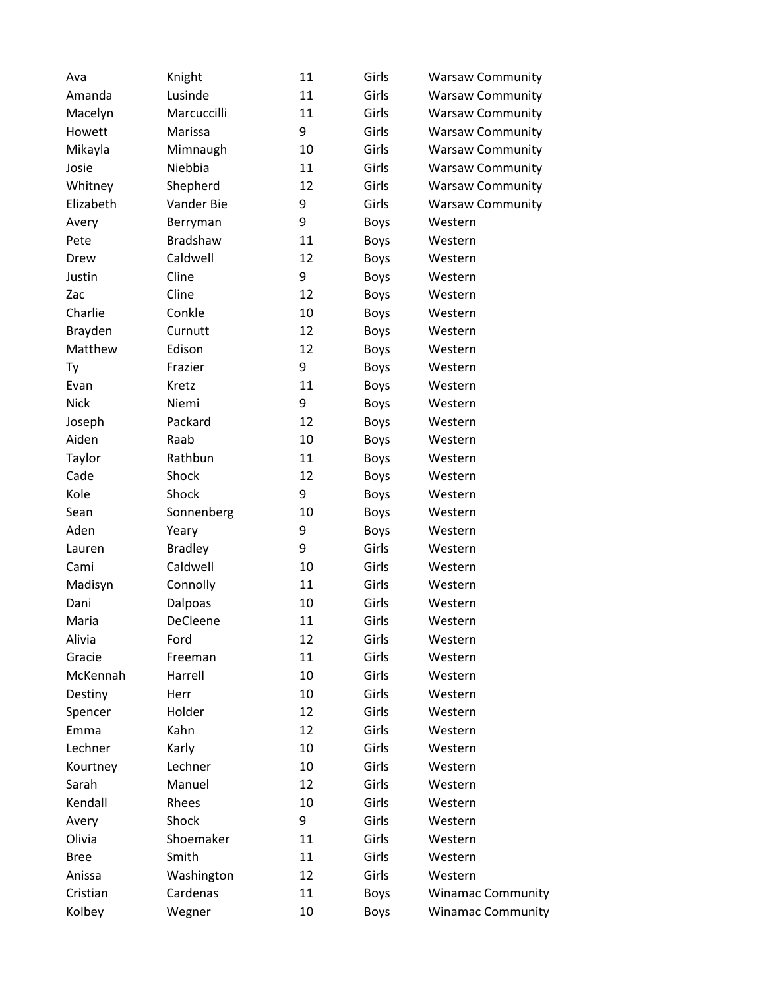| Ava         | Knight         | 11 | Girls       | <b>Warsaw Community</b>  |
|-------------|----------------|----|-------------|--------------------------|
| Amanda      | Lusinde        | 11 | Girls       | <b>Warsaw Community</b>  |
| Macelyn     | Marcuccilli    | 11 | Girls       | <b>Warsaw Community</b>  |
| Howett      | Marissa        | 9  | Girls       | <b>Warsaw Community</b>  |
| Mikayla     | Mimnaugh       | 10 | Girls       | <b>Warsaw Community</b>  |
| Josie       | Niebbia        | 11 | Girls       | <b>Warsaw Community</b>  |
| Whitney     | Shepherd       | 12 | Girls       | <b>Warsaw Community</b>  |
| Elizabeth   | Vander Bie     | 9  | Girls       | <b>Warsaw Community</b>  |
| Avery       | Berryman       | 9  | Boys        | Western                  |
| Pete        | Bradshaw       | 11 | Boys        | Western                  |
| Drew        | Caldwell       | 12 | Boys        | Western                  |
| Justin      | Cline          | 9  | Boys        | Western                  |
| Zac         | Cline          | 12 | Boys        | Western                  |
| Charlie     | Conkle         | 10 | Boys        | Western                  |
| Brayden     | Curnutt        | 12 | Boys        | Western                  |
| Matthew     | Edison         | 12 | Boys        | Western                  |
| Ty          | Frazier        | 9  | Boys        | Western                  |
| Evan        | Kretz          | 11 | Boys        | Western                  |
| <b>Nick</b> | Niemi          | 9  | Boys        | Western                  |
| Joseph      | Packard        | 12 | Boys        | Western                  |
| Aiden       | Raab           | 10 | Boys        | Western                  |
| Taylor      | Rathbun        | 11 | Boys        | Western                  |
| Cade        | Shock          | 12 | Boys        | Western                  |
| Kole        | Shock          | 9  | Boys        | Western                  |
| Sean        | Sonnenberg     | 10 | Boys        | Western                  |
| Aden        | Yeary          | 9  | <b>Boys</b> | Western                  |
| Lauren      | <b>Bradley</b> | 9  | Girls       | Western                  |
| Cami        | Caldwell       | 10 | Girls       | Western                  |
| Madisyn     | Connolly       | 11 | Girls       | Western                  |
| Dani        | Dalpoas        | 10 | Girls       | Western                  |
| Maria       | DeCleene       | 11 | Girls       | Western                  |
| Alivia      | Ford           | 12 | Girls       | Western                  |
| Gracie      | Freeman        | 11 | Girls       | Western                  |
| McKennah    | Harrell        | 10 | Girls       | Western                  |
| Destiny     | Herr           | 10 | Girls       | Western                  |
| Spencer     | Holder         | 12 | Girls       | Western                  |
| Emma        | Kahn           | 12 | Girls       | Western                  |
| Lechner     | Karly          | 10 | Girls       | Western                  |
| Kourtney    | Lechner        | 10 | Girls       | Western                  |
| Sarah       | Manuel         | 12 | Girls       | Western                  |
| Kendall     | Rhees          | 10 | Girls       | Western                  |
| Avery       | Shock          | 9  | Girls       | Western                  |
| Olivia      | Shoemaker      | 11 | Girls       | Western                  |
| <b>Bree</b> | Smith          | 11 | Girls       | Western                  |
| Anissa      | Washington     | 12 | Girls       | Western                  |
| Cristian    | Cardenas       | 11 | Boys        | <b>Winamac Community</b> |
| Kolbey      | Wegner         | 10 | Boys        | <b>Winamac Community</b> |